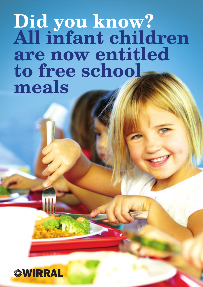## **Did you know? All infant children are now entitled to free school meals**